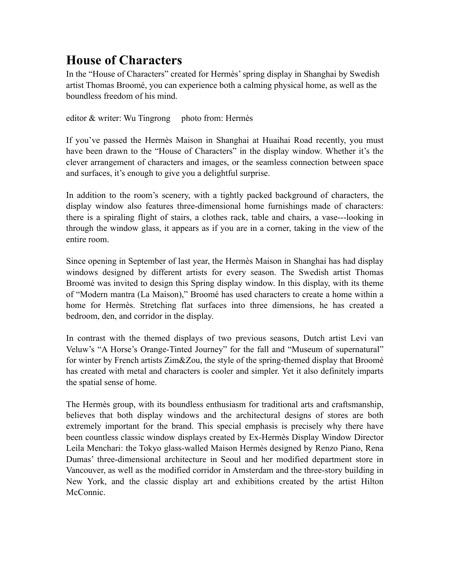# **House of Characters**

In the "House of Characters" created for Hermès' spring display in Shanghai by Swedish artist Thomas Broomé, you can experience both a calming physical home, as well as the boundless freedom of his mind.

editor  $&$  writer: Wu Tingrong photo from: Hermès

If you've passed the Hermès Maison in Shanghai at Huaihai Road recently, you must have been drawn to the "House of Characters" in the display window. Whether it's the clever arrangement of characters and images, or the seamless connection between space and surfaces, it's enough to give you a delightful surprise.

In addition to the room's scenery, with a tightly packed background of characters, the display window also features three-dimensional home furnishings made of characters: there is a spiraling flight of stairs, a clothes rack, table and chairs, a vase---looking in through the window glass, it appears as if you are in a corner, taking in the view of the entire room.

Since opening in September of last year, the Hermès Maison in Shanghai has had display windows designed by different artists for every season. The Swedish artist Thomas Broomé was invited to design this Spring display window. In this display, with its theme of "Modern mantra (La Maison)," Broomé has used characters to create a home within a home for Hermès. Stretching flat surfaces into three dimensions, he has created a bedroom, den, and corridor in the display.

In contrast with the themed displays of two previous seasons, Dutch artist Levi van Veluw's "A Horse's Orange-Tinted Journey" for the fall and "Museum of supernatural" for winter by French artists Zim&Zou, the style of the spring-themed display that Broomé has created with metal and characters is cooler and simpler. Yet it also definitely imparts the spatial sense of home.

The Hermès group, with its boundless enthusiasm for traditional arts and craftsmanship, believes that both display windows and the architectural designs of stores are both extremely important for the brand. This special emphasis is precisely why there have been countless classic window displays created by Ex-Hermès Display Window Director Leila Menchari: the Tokyo glass-walled Maison Hermès designed by Renzo Piano, Rena Dumas' three-dimensional architecture in Seoul and her modified department store in Vancouver, as well as the modified corridor in Amsterdam and the three-story building in New York, and the classic display art and exhibitions created by the artist Hilton McConnic.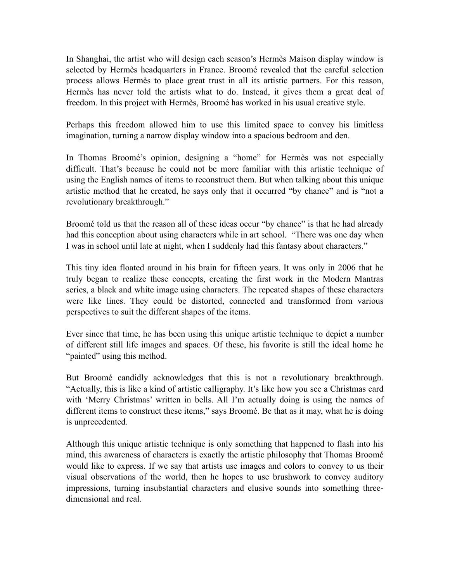In Shanghai, the artist who will design each season's Hermès Maison display window is selected by Hermès headquarters in France. Broomé revealed that the careful selection process allows Hermès to place great trust in all its artistic partners. For this reason, Hermès has never told the artists what to do. Instead, it gives them a great deal of freedom. In this project with Hermès, Broomé has worked in his usual creative style.

Perhaps this freedom allowed him to use this limited space to convey his limitless imagination, turning a narrow display window into a spacious bedroom and den.

In Thomas Broomé's opinion, designing a "home" for Hermès was not especially difficult. That's because he could not be more familiar with this artistic technique of using the English names of items to reconstruct them. But when talking about this unique artistic method that he created, he says only that it occurred "by chance" and is "not a revolutionary breakthrough."

Broomé told us that the reason all of these ideas occur "by chance" is that he had already had this conception about using characters while in art school. "There was one day when I was in school until late at night, when I suddenly had this fantasy about characters."

This tiny idea floated around in his brain for fifteen years. It was only in 2006 that he truly began to realize these concepts, creating the first work in the Modern Mantras series, a black and white image using characters. The repeated shapes of these characters were like lines. They could be distorted, connected and transformed from various perspectives to suit the different shapes of the items.

Ever since that time, he has been using this unique artistic technique to depict a number of different still life images and spaces. Of these, his favorite is still the ideal home he "painted" using this method.

But Broomé candidly acknowledges that this is not a revolutionary breakthrough. "Actually, this is like a kind of artistic calligraphy. It's like how you see a Christmas card with 'Merry Christmas' written in bells. All I'm actually doing is using the names of different items to construct these items," says Broomé. Be that as it may, what he is doing is unprecedented.

Although this unique artistic technique is only something that happened to flash into his mind, this awareness of characters is exactly the artistic philosophy that Thomas Broomé would like to express. If we say that artists use images and colors to convey to us their visual observations of the world, then he hopes to use brushwork to convey auditory impressions, turning insubstantial characters and elusive sounds into something threedimensional and real.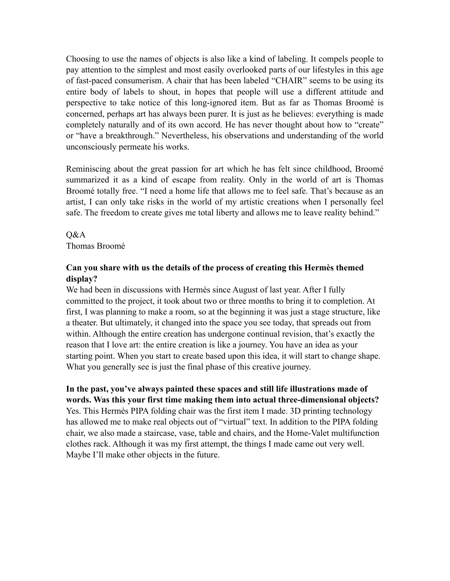Choosing to use the names of objects is also like a kind of labeling. It compels people to pay attention to the simplest and most easily overlooked parts of our lifestyles in this age of fast-paced consumerism. A chair that has been labeled "CHAIR" seems to be using its entire body of labels to shout, in hopes that people will use a different attitude and perspective to take notice of this long-ignored item. But as far as Thomas Broomé is concerned, perhaps art has always been purer. It is just as he believes: everything is made completely naturally and of its own accord. He has never thought about how to "create" or "have a breakthrough." Nevertheless, his observations and understanding of the world unconsciously permeate his works.

Reminiscing about the great passion for art which he has felt since childhood, Broomé summarized it as a kind of escape from reality. Only in the world of art is Thomas Broomé totally free. "I need a home life that allows me to feel safe. That's because as an artist, I can only take risks in the world of my artistic creations when I personally feel safe. The freedom to create gives me total liberty and allows me to leave reality behind."

## Q&A Thomas Broomé

## **Can you share with us the details of the process of creating this Hermès themed display?**

We had been in discussions with Hermès since August of last year. After I fully committed to the project, it took about two or three months to bring it to completion. At first, I was planning to make a room, so at the beginning it was just a stage structure, like a theater. But ultimately, it changed into the space you see today, that spreads out from within. Although the entire creation has undergone continual revision, that's exactly the reason that I love art: the entire creation is like a journey. You have an idea as your starting point. When you start to create based upon this idea, it will start to change shape. What you generally see is just the final phase of this creative journey.

**In the past, you've always painted these spaces and still life illustrations made of words. Was this your first time making them into actual three-dimensional objects?**  Yes. This Hermès PIPA folding chair was the first item I made. 3D printing technology has allowed me to make real objects out of "virtual" text. In addition to the PIPA folding chair, we also made a staircase, vase, table and chairs, and the Home-Valet multifunction clothes rack. Although it was my first attempt, the things I made came out very well. Maybe I'll make other objects in the future.